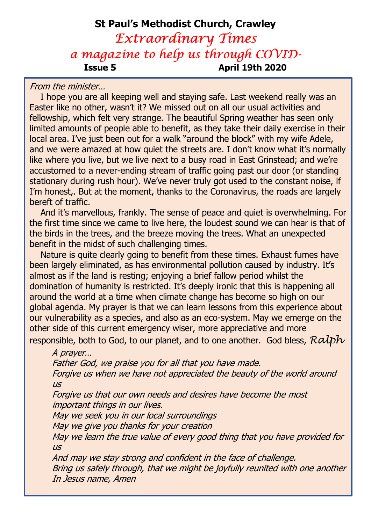# St Paul's Methodist Church, Crawley Extraordinary Times a magazine to help us through COVID-Issue 5 April 19th 2020

From the minister…

 I hope you are all keeping well and staying safe. Last weekend really was an Easter like no other, wasn't it? We missed out on all our usual activities and fellowship, which felt very strange. The beautiful Spring weather has seen only limited amounts of people able to benefit, as they take their daily exercise in their local area. I've just been out for a walk "around the block" with my wife Adele, and we were amazed at how quiet the streets are. I don't know what it's normally like where you live, but we live next to a busy road in East Grinstead; and we're accustomed to a never-ending stream of traffic going past our door (or standing stationary during rush hour). We've never truly got used to the constant noise, if I'm honest,. But at the moment, thanks to the Coronavirus, the roads are largely bereft of traffic.

 And it's marvellous, frankly. The sense of peace and quiet is overwhelming. For the first time since we came to live here, the loudest sound we can hear is that of the birds in the trees, and the breeze moving the trees. What an unexpected benefit in the midst of such challenging times.

 Nature is quite clearly going to benefit from these times. Exhaust fumes have been largely eliminated, as has environmental pollution caused by industry. It's almost as if the land is resting; enjoying a brief fallow period whilst the domination of humanity is restricted. It's deeply ironic that this is happening all around the world at a time when climate change has become so high on our global agenda. My prayer is that we can learn lessons from this experience about our vulnerability as a species, and also as an eco-system. May we emerge on the other side of this current emergency wiser, more appreciative and more responsible, both to God, to our planet, and to one another. God bless,  $R\nalpha b\nu$ 

A prayer…

Father God, we praise you for all that you have made.

Forgive us when we have not appreciated the beauty of the world around  $\overline{U}$ 

Forgive us that our own needs and desires have become the most important things in our lives.

May we seek you in our local surroundings

May we give you thanks for your creation

May we learn the true value of every good thing that you have provided for us

And may we stay strong and confident in the face of challenge. Bring us safely through, that we might be joyfully reunited with one another In Jesus name, Amen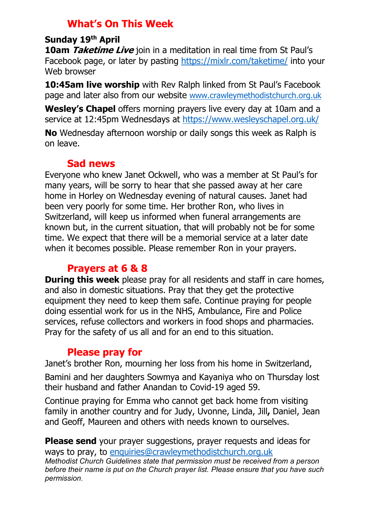# What's On This Week

#### Sunday 19th April

**10am** *Taketime Live* join in a meditation in real time from St Paul's Facebook page, or later by pasting https://mixlr.com/taketime/ into your Web browser

**10:45am live worship** with Rev Ralph linked from St Paul's Facebook page and later also from our website www.crawleymethodistchurch.org.uk

Wesley's Chapel offers morning prayers live every day at 10am and a service at 12:45pm Wednesdays at https://www.wesleyschapel.org.uk/

No Wednesday afternoon worship or daily songs this week as Ralph is on leave.

## Sad news

Everyone who knew Janet Ockwell, who was a member at St Paul's for many years, will be sorry to hear that she passed away at her care home in Horley on Wednesday evening of natural causes. Janet had been very poorly for some time. Her brother Ron, who lives in Switzerland, will keep us informed when funeral arrangements are known but, in the current situation, that will probably not be for some time. We expect that there will be a memorial service at a later date when it becomes possible. Please remember Ron in your prayers.

### Prayers at 6 & 8

**During this week** please pray for all residents and staff in care homes, and also in domestic situations. Pray that they get the protective equipment they need to keep them safe. Continue praying for people doing essential work for us in the NHS, Ambulance, Fire and Police services, refuse collectors and workers in food shops and pharmacies. Pray for the safety of us all and for an end to this situation.

### Please pray for

Janet's brother Ron, mourning her loss from his home in Switzerland,

Bamini and her daughters Sowmya and Kayaniya who on Thursday lost their husband and father Anandan to Covid-19 aged 59.

Continue praying for Emma who cannot get back home from visiting family in another country and for Judy, Uvonne, Linda, Jill, Daniel, Jean and Geoff, Maureen and others with needs known to ourselves.

**Please send** your prayer suggestions, prayer requests and ideas for ways to pray, to enquiries@crawleymethodistchurch.org.uk Methodist Church Guidelines state that permission must be received from a person before their name is put on the Church prayer list. Please ensure that you have such permission.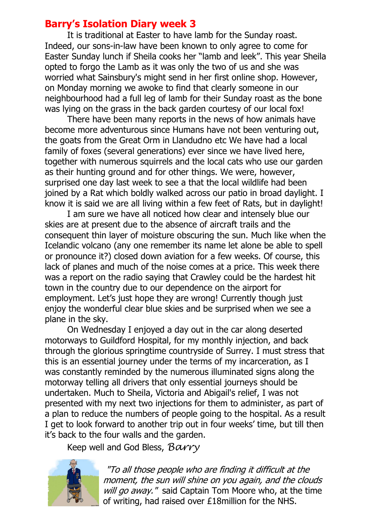### Barry's Isolation Diary week 3

 It is traditional at Easter to have lamb for the Sunday roast. Indeed, our sons-in-law have been known to only agree to come for Easter Sunday lunch if Sheila cooks her "lamb and leek". This year Sheila opted to forgo the Lamb as it was only the two of us and she was worried what Sainsbury's might send in her first online shop. However, on Monday morning we awoke to find that clearly someone in our neighbourhood had a full leg of lamb for their Sunday roast as the bone was lying on the grass in the back garden courtesy of our local fox!

There have been many reports in the news of how animals have become more adventurous since Humans have not been venturing out, the goats from the Great Orm in Llandudno etc We have had a local family of foxes (several generations) ever since we have lived here, together with numerous squirrels and the local cats who use our garden as their hunting ground and for other things. We were, however, surprised one day last week to see a that the local wildlife had been joined by a Rat which boldly walked across our patio in broad daylight. I know it is said we are all living within a few feet of Rats, but in daylight!

I am sure we have all noticed how clear and intensely blue our skies are at present due to the absence of aircraft trails and the consequent thin layer of moisture obscuring the sun. Much like when the Icelandic volcano (any one remember its name let alone be able to spell or pronounce it?) closed down aviation for a few weeks. Of course, this lack of planes and much of the noise comes at a price. This week there was a report on the radio saying that Crawley could be the hardest hit town in the country due to our dependence on the airport for employment. Let's just hope they are wrong! Currently though just enjoy the wonderful clear blue skies and be surprised when we see a plane in the sky.

On Wednesday I enjoyed a day out in the car along deserted motorways to Guildford Hospital, for my monthly injection, and back through the glorious springtime countryside of Surrey. I must stress that this is an essential journey under the terms of my incarceration, as I was constantly reminded by the numerous illuminated signs along the motorway telling all drivers that only essential journeys should be undertaken. Much to Sheila, Victoria and Abigail's relief, I was not presented with my next two injections for them to administer, as part of a plan to reduce the numbers of people going to the hospital. As a result I get to look forward to another trip out in four weeks' time, but till then it's back to the four walls and the garden.

Keep well and God Bless, Barry



"To all those people who are finding it difficult at the moment, the sun will shine on you again, and the clouds will go away." said Captain Tom Moore who, at the time of writing, had raised over £18million for the NHS.